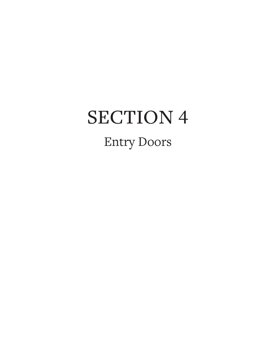# SECTION 4 Entry Doors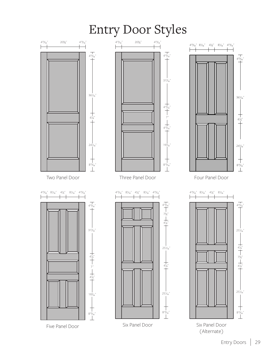## Entry Door Styles

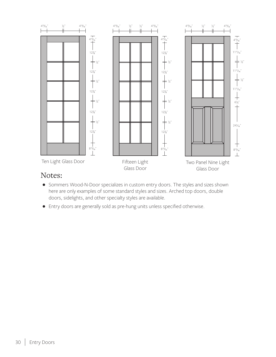

#### Notes:

- Sommers Wood-N-Door specializes in custom entry doors. The styles and sizes shown here are only examples of some standard styles and sizes. Arched top doors, double doors, sidelights, and other specialty styles are available.
- Entry doors are generally sold as pre-hung units unless specified otherwise.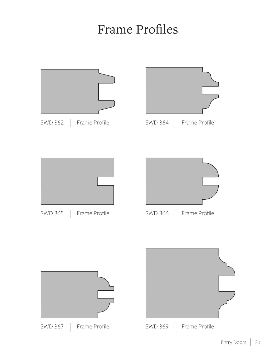### Frame Profiles

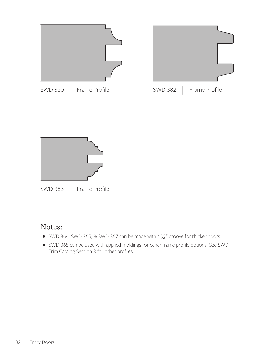![](_page_4_Figure_0.jpeg)

### Notes:

- SWD 364, SWD 365, & SWD 367 can be made with a  $1/2''$  groove for thicker doors.
- SWD 365 can be used with applied moldings for other frame profile options. See SWD Trim Catalog Section 3 for other profiles.